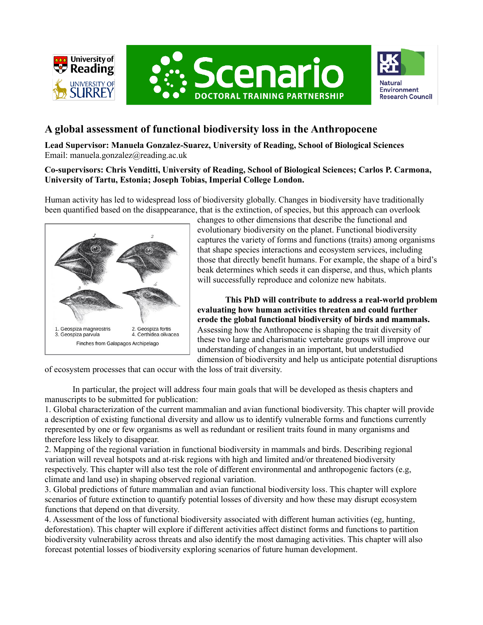





# **A global assessment of functional biodiversity loss in the Anthropocene**

**Lead Supervisor: Manuela Gonzalez-Suarez, University of Reading, School of Biological Sciences** Email: manuela.gonzalez@reading.ac.uk

# **Co-supervisors: Chris Venditti, University of Reading, School of Biological Sciences; Carlos P. Carmona, University of Tartu, Estonia; Joseph Tobias, Imperial College London.**

Human activity has led to widespread loss of biodiversity globally. Changes in biodiversity have traditionally been quantified based on the disappearance, that is the extinction, of species, but this approach can overlook



changes to other dimensions that describe the functional and evolutionary biodiversity on the planet. Functional biodiversity captures the variety of forms and functions (traits) among organisms that shape species interactions and ecosystem services, including those that directly benefit humans. For example, the shape of a bird's beak determines which seeds it can disperse, and thus, which plants will successfully reproduce and colonize new habitats.

**This PhD will contribute to address a real-world problem evaluating how human activities threaten and could further erode the global functional biodiversity of birds and mammals.** Assessing how the Anthropocene is shaping the trait diversity of these two large and charismatic vertebrate groups will improve our understanding of changes in an important, but understudied dimension of biodiversity and help us anticipate potential disruptions

of ecosystem processes that can occur with the loss of trait diversity.

In particular, the project will address four main goals that will be developed as thesis chapters and manuscripts to be submitted for publication:

1. Global characterization of the current mammalian and avian functional biodiversity. This chapter will provide a description of existing functional diversity and allow us to identify vulnerable forms and functions currently represented by one or few organisms as well as redundant or resilient traits found in many organisms and therefore less likely to disappear.

2. Mapping of the regional variation in functional biodiversity in mammals and birds. Describing regional variation will reveal hotspots and at-risk regions with high and limited and/or threatened biodiversity respectively. This chapter will also test the role of different environmental and anthropogenic factors (e.g, climate and land use) in shaping observed regional variation.

3. Global predictions of future mammalian and avian functional biodiversity loss. This chapter will explore scenarios of future extinction to quantify potential losses of diversity and how these may disrupt ecosystem functions that depend on that diversity.

4. Assessment of the loss of functional biodiversity associated with different human activities (eg, hunting, deforestation). This chapter will explore if different activities affect distinct forms and functions to partition biodiversity vulnerability across threats and also identify the most damaging activities. This chapter will also forecast potential losses of biodiversity exploring scenarios of future human development.